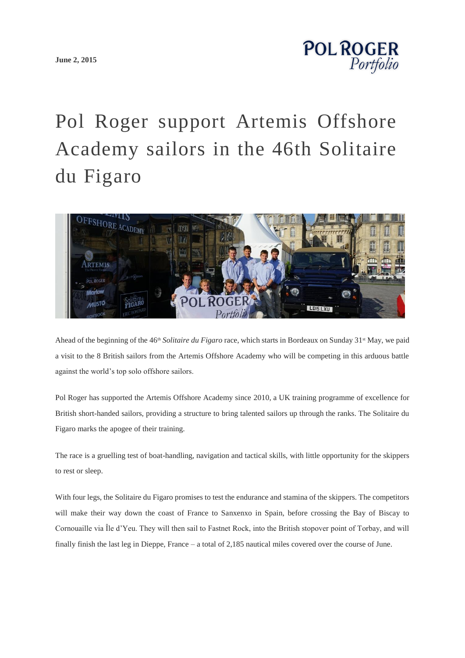**[June 2, 2015](http://www.polroger.co.uk/2015/06/)**



## Pol Roger support Artemis Offshore Academy sailors in the 46th Solitaire du Figaro



Ahead of the beginning of the 46<sup>th</sup> *Solitaire du Figaro* race, which starts in Bordeaux on Sunday 31<sup>st</sup> May, we paid a visit to the 8 British sailors from the Artemis Offshore Academy who will be competing in this arduous battle against the world's top solo offshore sailors.

Pol Roger has supported the Artemis Offshore Academy since 2010, a UK training programme of excellence for British short-handed sailors, providing a structure to bring talented sailors up through the ranks. The Solitaire du Figaro marks the apogee of their training.

The race is a gruelling test of boat-handling, navigation and tactical skills, with little opportunity for the skippers to rest or sleep.

With four legs, the Solitaire du Figaro promises to test the endurance and stamina of the skippers. The competitors will make their way down the coast of France to Sanxenxo in Spain, before crossing the Bay of Biscay to Cornouaille via Île d'Yeu. They will then sail to Fastnet Rock, into the British stopover point of Torbay, and will finally finish the last leg in Dieppe, France – a total of 2,185 nautical miles covered over the course of June.